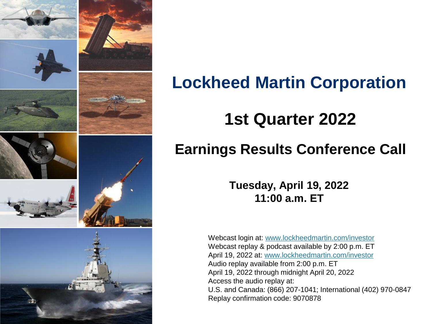

## **Lockheed Martin Corporation**

## **1st Quarter 2022**

### **Earnings Results Conference Call**

**Tuesday, April 19, 2022 11:00 a.m. ET**

Webcast login at: [www.lockheedmartin.com/investor](http://www.lockheedmartin.com/investor) Webcast replay & podcast available by 2:00 p.m. ET April 19, 2022 at: [www.lockheedmartin.com/investor](http://www.lockheedmartin.com/investor) Audio replay available from 2:00 p.m. ET April 19, 2022 through midnight April 20, 2022 Access the audio replay at: U.S. and Canada: (866) 207-1041; International (402) 970-0847 Replay confirmation code: 9070878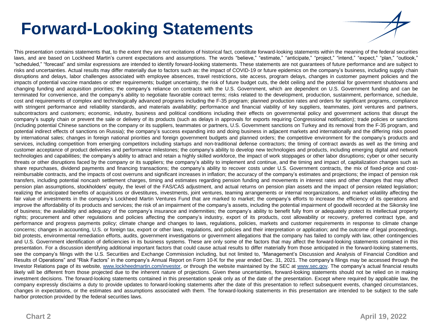## **Forward-Looking Statements**

This presentation contains statements that, to the extent they are not recitations of historical fact, constitute forward-looking statements within the meaning of the federal securities laws, and are based on Lockheed Martin's current expectations and assumptions. The words "believe," "estimate," "anticipate," "project," "intend," "expect," "plan," "outlook," "scheduled," "forecast" and similar expressions are intended to identify forward-looking statements. These statements are not guarantees of future performance and are subject to risks and uncertainties. Actual results may differ materially due to factors such as: the impact of COVID-19 or future epidemics on the company's business, including supply chain disruptions and delays, labor challenges associated with employee absences, travel restrictions, site access, program delays, changes in customer payment policies and the impacts of potential vaccine mandates or other requirements; budget uncertainty, the risk of future budget cuts, the debt ceiling and the potential for government shutdowns and changing funding and acquisition priorities; the company's reliance on contracts with the U.S. Government, which are dependent on U.S. Government funding and can be terminated for convenience, and the company's ability to negotiate favorable contract terms; risks related to the development, production, sustainment, performance, schedule, cost and requirements of complex and technologically advanced programs including the F-35 program; planned production rates and orders for significant programs, compliance with stringent performance and reliability standards, and materials availability; performance and financial viability of key suppliers, teammates, joint ventures and partners, subcontractors and customers; economic, industry, business and political conditions including their effects on governmental policy and government actions that disrupt the company's supply chain or prevent the sale or delivery of its products (such as delays in approvals for exports requiring Congressional notification); trade policies or sanctions (including potential Chinese sanctions on the company or its suppliers, teammates or partners, U.S. Government sanctions on Turkey and its removal from the F-35 program, and potential indirect effects of sanctions on Russia); the company's success expanding into and doing business in adjacent markets and internationally and the differing risks posed by international sales; changes in foreign national priorities and foreign government budgets and planned orders; the competitive environment for the company's products and services, including competition from emerging competitors including startups and non-traditional defense contractors; the timing of contract awards as well as the timing and customer acceptance of product deliveries and performance milestones; the company's ability to develop new technologies and products, including emerging digital and network technologies and capabilities; the company's ability to attract and retain a highly skilled workforce, the impact of work stoppages or other labor disruptions; cyber or other security threats or other disruptions faced by the company or its suppliers; the company's ability to implement and continue, and the timing and impact of, capitalization changes such as share repurchases, dividend payments and financing transactions; the company's ability to recover costs under U.S. Government contracts, the mix of fixed-price and costreimbursable contracts, and the impacts of cost overruns and significant increases in inflation; the accuracy of the company's estimates and projections; the impact of pension risk transfers, including potential noncash settlement charges, timing and estimates regarding pension funding and movements in interest rates and other changes that may affect pension plan assumptions, stockholders' equity, the level of the FAS/CAS adjustment, and actual returns on pension plan assets and the impact of pension related legislation; realizing the anticipated benefits of acquisitions or divestitures, investments, joint ventures, teaming arrangements or internal reorganizations, and market volatility affecting the fair value of investments in the company's Lockheed Martin Ventures Fund that are marked to market; the company's efforts to increase the efficiency of its operations and improve the affordability of its products and services; the risk of an impairment of the company's assets, including the potential impairment of goodwill recorded at the Sikorsky line of business; the availability and adequacy of the company's insurance and indemnities; the company's ability to benefit fully from or adequately protect its intellectual property rights; procurement and other regulations and policies affecting the company's industry, export of its products, cost allowability or recovery, preferred contract type, and performance and progress payments policy; climate change and changes to laws, regulations, policies, markets and customer requirements in response to climate change concerns; changes in accounting, U.S. or foreign tax, export or other laws, regulations, and policies and their interpretation or application; and the outcome of legal proceedings, bid protests, environmental remediation efforts, audits, government investigations or government allegations that the company has failed to comply with law, other contingencies and U.S. Government identification of deficiencies in its business systems. These are only some of the factors that may affect the forward-looking statements contained in this presentation. For a discussion identifying additional important factors that could cause actual results to differ materially from those anticipated in the forward-looking statements, see the company's filings with the U.S. Securities and Exchange Commission including, but not limited to, "Management's Discussion and Analysis of Financial Condition and Results of Operations" and "Risk Factors" in the company's Annual Report on Form 10-K for the year ended Dec. 31, 2021. The company's filings may be accessed through the Investor Relations page of its website, www.lockheedmartin.com/investor, or through the website maintained by the SEC at [www.sec.gov.](http://www.sec.gov/) The company's actual financial results likely will be different from those projected due to the inherent nature of projections. Given these uncertainties, forward-looking statements should not be relied on in making investment decisions. The forward-looking statements contained in this presentation speak only as of the date of the presentation. Except where required by applicable law, the company expressly disclaims a duty to provide updates to forward-looking statements after the date of this presentation to reflect subsequent events, changed circumstances, changes in expectations, or the estimates and assumptions associated with them. The forward-looking statements in this presentation are intended to be subject to the safe harbor protection provided by the federal securities laws.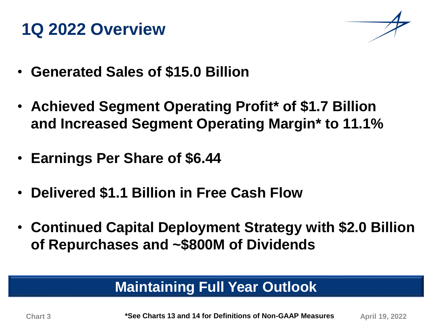## **1Q 2022 Overview**



- **Generated Sales of \$15.0 Billion**
- **Achieved Segment Operating Profit\* of \$1.7 Billion and Increased Segment Operating Margin\* to 11.1%**
- **Earnings Per Share of \$6.44**
- **Delivered \$1.1 Billion in Free Cash Flow**
- **Continued Capital Deployment Strategy with \$2.0 Billion of Repurchases and ~\$800M of Dividends**

## **Maintaining Full Year Outlook**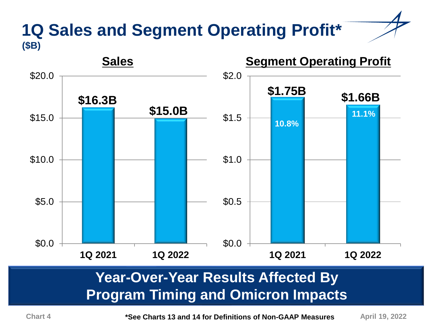#### **1Q Sales and Segment Operating Profit\* (\$B)**



### **Year-Over-Year Results Affected By Program Timing and Omicron Impacts**

Chart 4 **August 2018 \*See Charts 13 and 14 for Definitions of Non-GAAP Measures** April 19, 2022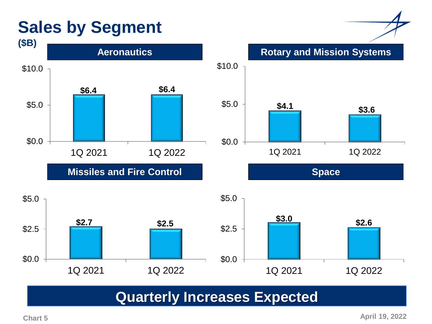## **Sales by Segment**



**Missiles and Fire Control <b>Space Space** 



**Rotary and Mission Systems**



#### **Quarterly Increases Expected**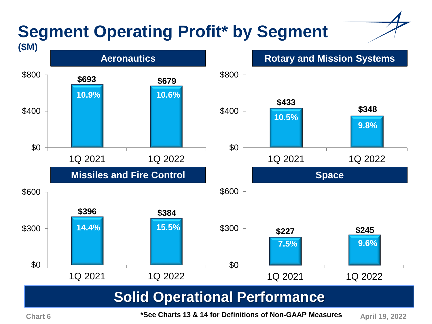# **Segment Operating Profit\* by Segment**



**Chart 6 April 19, 2022 \*See Charts 13 & 14 for Definitions of Non-GAAP Measures**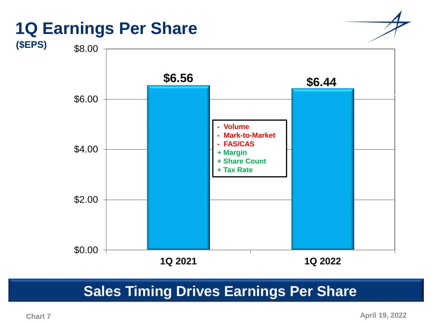

#### **Sales Timing Drives Earnings Per Share**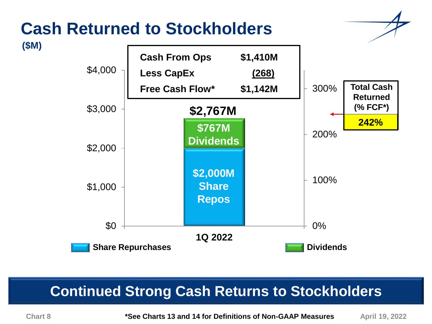## **Cash Returned to Stockholders**





### **Continued Strong Cash Returns to Stockholders**

**(\$M)**

**\*See Charts 13 and 14 for Definitions of Non-GAAP Measures Chart 8 April 19, 2022**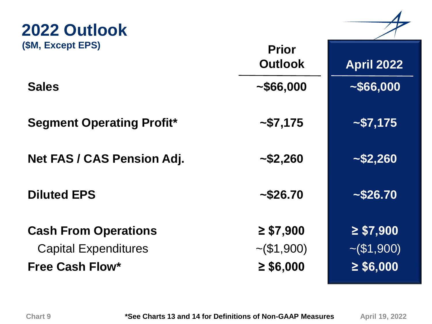| 2022 Outlook                                               |                                    |                                    |
|------------------------------------------------------------|------------------------------------|------------------------------------|
| (\$M, Except EPS)                                          | <b>Prior</b><br><b>Outlook</b>     | <b>April 2022</b>                  |
| <b>Sales</b>                                               | ~1000                              | ~1566,000                          |
| <b>Segment Operating Profit*</b>                           | ~175                               | ~175                               |
| <b>Net FAS / CAS Pension Adj.</b>                          | ~1.260                             | ~152,260                           |
| <b>Diluted EPS</b>                                         | ~1.526.70                          | ~1.526.70                          |
| <b>Cash From Operations</b><br><b>Capital Expenditures</b> | $\geq$ \$7,900<br>$\sim (\$1,900)$ | $\geq$ \$7,900<br>$\sim (\$1,900)$ |
| <b>Free Cash Flow*</b>                                     | $\geq$ \$6,000                     | $\geq$ \$6,000                     |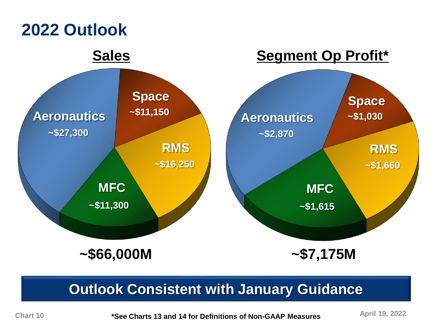

#### **Outlook Consistent with January Guidance**

**\*See Charts 13 and 14 for Definitions of Non-GAAP Measures Chart 10 April 19, 2022**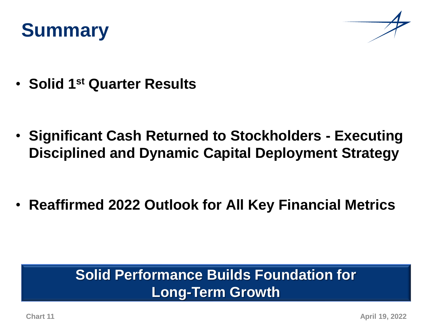



• **Solid 1st Quarter Results**

• **Significant Cash Returned to Stockholders - Executing Disciplined and Dynamic Capital Deployment Strategy**

• **Reaffirmed 2022 Outlook for All Key Financial Metrics**

#### **Solid Performance Builds Foundation for Long-Term Growth**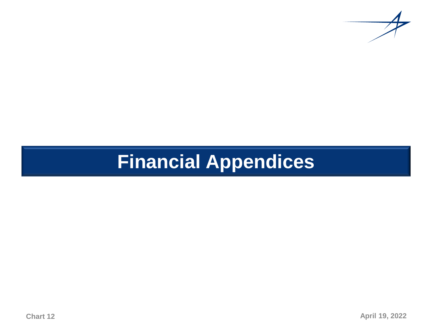

# **Financial Appendices**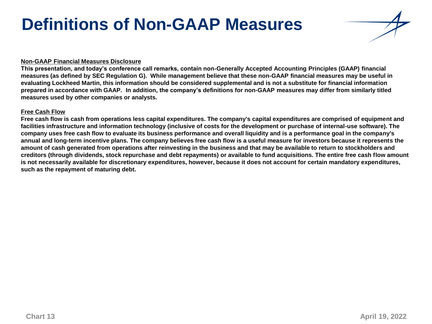## **Definitions of Non-GAAP Measures**

#### **Non-GAAP Financial Measures Disclosure**

**This presentation, and today's conference call remarks, contain non-Generally Accepted Accounting Principles (GAAP) financial measures (as defined by SEC Regulation G). While management believe that these non-GAAP financial measures may be useful in evaluating Lockheed Martin, this information should be considered supplemental and is not a substitute for financial information prepared in accordance with GAAP. In addition, the company's definitions for non-GAAP measures may differ from similarly titled measures used by other companies or analysts.**

#### **Free Cash Flow**

**Free cash flow is cash from operations less capital expenditures. The company's capital expenditures are comprised of equipment and facilities infrastructure and information technology (inclusive of costs for the development or purchase of internal-use software). The company uses free cash flow to evaluate its business performance and overall liquidity and is a performance goal in the company's annual and long-term incentive plans. The company believes free cash flow is a useful measure for investors because it represents the amount of cash generated from operations after reinvesting in the business and that may be available to return to stockholders and creditors (through dividends, stock repurchase and debt repayments) or available to fund acquisitions. The entire free cash flow amount is not necessarily available for discretionary expenditures, however, because it does not account for certain mandatory expenditures, such as the repayment of maturing debt.**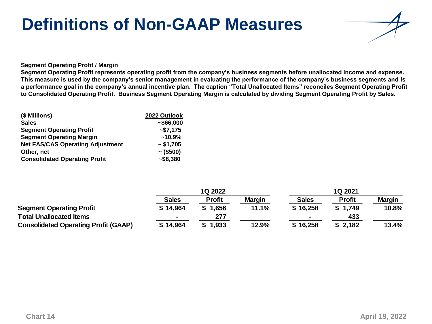## **Definitions of Non-GAAP Measures**



#### **Segment Operating Profit / Margin**

**Segment Operating Profit represents operating profit from the company's business segments before unallocated income and expense. This measure is used by the company's senior management in evaluating the performance of the company's business segments and is a performance goal in the company's annual incentive plan. The caption "Total Unallocated Items" reconciles Segment Operating Profit to Consolidated Operating Profit. Business Segment Operating Margin is calculated by dividing Segment Operating Profit by Sales.** 

| (\$ Millions)                           | 2022 Outlook   |
|-----------------------------------------|----------------|
| <b>Sales</b>                            | ~566,000       |
| <b>Segment Operating Profit</b>         | $-$ \$7,175    |
| <b>Segment Operating Margin</b>         | $~10.9\%$      |
| <b>Net FAS/CAS Operating Adjustment</b> | ~51,705        |
| Other, net                              | $\sim$ (\$500) |
| <b>Consolidated Operating Profit</b>    | $-$ \$8,380    |

|                                             | 1Q 2022      |               | 1Q 2021       |                |               |               |
|---------------------------------------------|--------------|---------------|---------------|----------------|---------------|---------------|
|                                             | <b>Sales</b> | <b>Profit</b> | <b>Margin</b> | <b>Sales</b>   | <b>Profit</b> | <b>Margin</b> |
| <b>Segment Operating Profit</b>             | \$14,964     | \$1,656       | 11.1%         | \$16,258       | \$1.749       | 10.8%         |
| <b>Total Unallocated Items</b>              |              | 277           |               | $\blacksquare$ | 433           |               |
| <b>Consolidated Operating Profit (GAAP)</b> | \$14,964     | \$1,933       | 12.9%         | \$16,258       | \$2,182       | 13.4%         |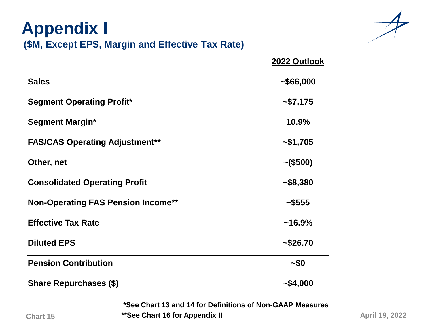| <b>Appendix I</b><br>(\$M, Except EPS, Margin and Effective Tax Rate) |                |
|-----------------------------------------------------------------------|----------------|
|                                                                       | 2022 Outlook   |
| <b>Sales</b>                                                          | ~1000          |
| <b>Segment Operating Profit*</b>                                      | ~57,175        |
| <b>Segment Margin*</b>                                                | 10.9%          |
| <b>FAS/CAS Operating Adjustment**</b>                                 | ~1,705         |
| Other, net                                                            | $\sim$ (\$500) |
| <b>Consolidated Operating Profit</b>                                  | ~1.58,380      |
| <b>Non-Operating FAS Pension Income**</b>                             | ~1.5555        |
| <b>Effective Tax Rate</b>                                             | $~16.9\%$      |
| <b>Diluted EPS</b>                                                    | ~1.526.70      |
| <b>Pension Contribution</b>                                           | ~10~           |
| <b>Share Repurchases (\$)</b>                                         | ~1.000         |
| *See Chart 13 and 14 for Definitions of Non-GAAP Measures             |                |

**Chart 15**

**\*\*See Chart 16 for Appendix II**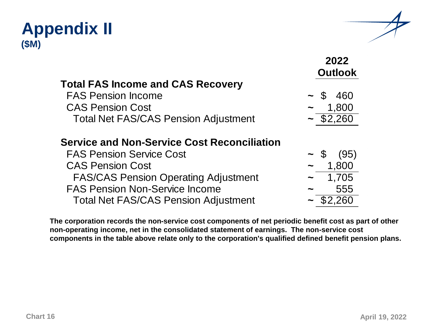#### **Appendix II (\$M)**



|                                                    | 2022<br><b>Outlook</b> |
|----------------------------------------------------|------------------------|
| <b>Total FAS Income and CAS Recovery</b>           |                        |
| <b>FAS Pension Income</b>                          | $\sim$ \$<br>460       |
| <b>CAS Pension Cost</b>                            | 1,800                  |
| <b>Total Net FAS/CAS Pension Adjustment</b>        | $-$ \$2,260            |
| <b>Service and Non-Service Cost Reconciliation</b> |                        |
| <b>FAS Pension Service Cost</b>                    | (95)<br>$\sim$ \$      |
| <b>CAS Pension Cost</b>                            | 1,800                  |
| <b>FAS/CAS Pension Operating Adjustment</b>        | 1,705<br>$\tilde{}$    |
| <b>FAS Pension Non-Service Income</b>              | 555<br>∼               |
| <b>Total Net FAS/CAS Pension Adjustment</b>        | 2.260                  |
|                                                    |                        |

**The corporation records the non-service cost components of net periodic benefit cost as part of other non-operating income, net in the consolidated statement of earnings. The non-service cost components in the table above relate only to the corporation's qualified defined benefit pension plans.**